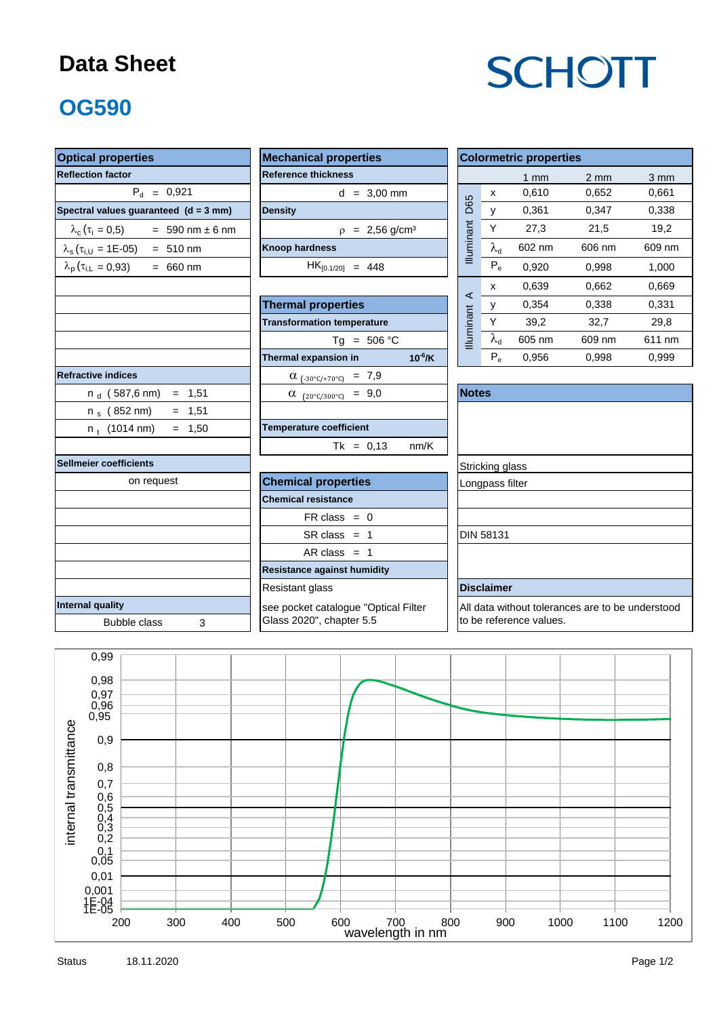#### **Data Sheet**

# **SCHOTT**

### **OG590**

| <b>Optical properties</b>                                  |                                         |                                                  | <b>Colormetric properties</b> |                         |                  |                  |  |  |  |
|------------------------------------------------------------|-----------------------------------------|--------------------------------------------------|-------------------------------|-------------------------|------------------|------------------|--|--|--|
| <b>Reflection factor</b>                                   | <b>Reference thickness</b>              |                                                  |                               | 1 <sub>mm</sub>         | $2 \, \text{mm}$ | $3 \, \text{mm}$ |  |  |  |
| $P_{d} = 0.921$                                            | $d = 3,00$ mm                           |                                                  | X                             | 0,610                   | 0,652            | 0,661            |  |  |  |
| Spectral values guaranteed (d = 3 mm)                      | <b>Density</b>                          | D65                                              | $\mathsf{V}$                  | 0,361                   | 0,347            | 0,338            |  |  |  |
| $\lambda_c(\tau_i = 0.5)$ = 590 nm ± 6 nm                  | $p = 2,56$ g/cm <sup>3</sup>            |                                                  | Y                             | 27,3                    | 21,5             | 19,2             |  |  |  |
| $\lambda_s(\tau_{i,U} = 1E{\text -}05) = 510 \text{ nm}$   | <b>Knoop hardness</b>                   | Illuminant                                       | $\lambda_{\rm d}$             | 602 nm                  | 606 nm           | 609 nm           |  |  |  |
| $\lambda_{\rm p}$ ( $\tau_{\rm i,L}$ = 0,93)<br>$= 660$ nm | $HK_{[0.1/20]} = 448$                   |                                                  | $P_e$                         | 0,920                   | 0,998            | 1,000            |  |  |  |
|                                                            |                                         |                                                  | x                             | 0,639                   | 0,662            | 0,669            |  |  |  |
|                                                            | <b>Thermal properties</b>               | $\prec$                                          | У                             | 0,354                   | 0,338            | 0,331            |  |  |  |
|                                                            | <b>Transformation temperature</b>       | Illuminant                                       | Υ                             | 39,2                    | 32,7             | 29,8             |  |  |  |
|                                                            | $Tg = 506 °C$                           |                                                  | $\lambda_{\rm d}$             | 605 nm                  | 609 nm           | 611 nm           |  |  |  |
|                                                            | $10^{-6}$ /K<br>Thermal expansion in    |                                                  | $P_e$                         | 0,956                   | 0,998            | 0,999            |  |  |  |
| <b>Refractive indices</b>                                  | $\alpha$ <sub>(-30°C/+70°C)</sub> = 7,9 |                                                  |                               |                         |                  |                  |  |  |  |
| $n_d$ (587,6 nm) = 1,51                                    | $\alpha$ (20°C/300°C) = 9,0             | <b>Notes</b>                                     |                               |                         |                  |                  |  |  |  |
| $= 1,51$<br>n $_{\rm s}$ (852 nm)                          |                                         |                                                  |                               |                         |                  |                  |  |  |  |
| $= 1,50$<br>$n_t$ (1014 nm)                                | <b>Temperature coefficient</b>          |                                                  |                               |                         |                  |                  |  |  |  |
|                                                            | $Tk = 0,13$<br>nm/K                     |                                                  |                               |                         |                  |                  |  |  |  |
| <b>Sellmeier coefficients</b>                              |                                         | Stricking glass                                  |                               |                         |                  |                  |  |  |  |
| on request                                                 | Longpass filter                         |                                                  |                               |                         |                  |                  |  |  |  |
|                                                            | <b>Chemical resistance</b>              |                                                  |                               |                         |                  |                  |  |  |  |
|                                                            | $FR \text{ class } = 0$                 |                                                  |                               |                         |                  |                  |  |  |  |
|                                                            | $SR class = 1$                          |                                                  | <b>DIN 58131</b>              |                         |                  |                  |  |  |  |
|                                                            | AR class = $1$                          |                                                  |                               |                         |                  |                  |  |  |  |
|                                                            | <b>Resistance against humidity</b>      |                                                  |                               |                         |                  |                  |  |  |  |
|                                                            |                                         | <b>Disclaimer</b>                                |                               |                         |                  |                  |  |  |  |
| Internal quality                                           | see pocket catalogue "Optical Filter    | All data without tolerances are to be understood |                               |                         |                  |                  |  |  |  |
| <b>Bubble class</b><br>3                                   | Glass 2020", chapter 5.5                |                                                  |                               | to be reference values. |                  |                  |  |  |  |